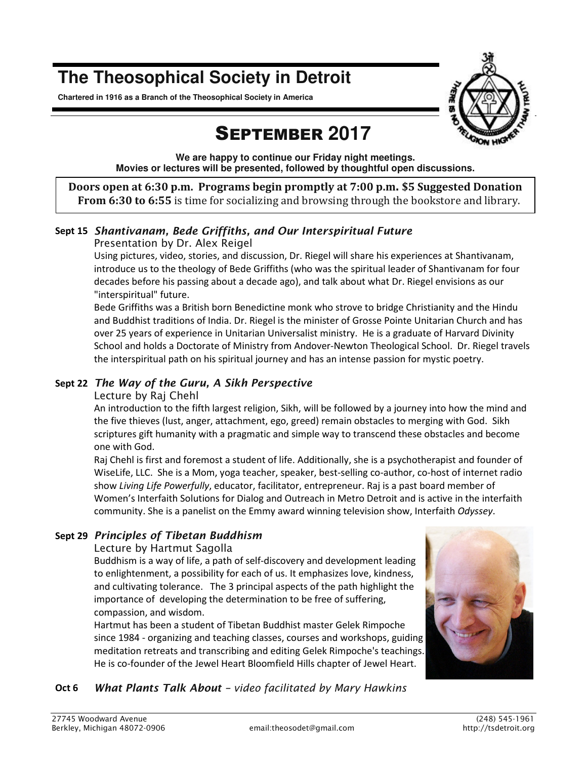# **The Theosophical Society in Detroit**

**Chartered in 1916 as a Branch of the Theosophical Society in America** 



# SEPTEMBER **2017**

**We are happy to continue our Friday night meetings. Movies or lectures will be presented, followed by thoughtful open discussions.** 

**Doors open at 6:30 p.m. Programs begin promptly at 7:00 p.m. \$5 Suggested Donation From 6:30 to 6:55** is time for socializing and browsing through the bookstore and library.

# **Sept 15** *Shantivanam, Bede Griffiths, and Our Interspiritual Future*

#### *Presentation by Dr. Alex Reigel*

Using pictures, video, stories, and discussion, Dr. Riegel will share his experiences at Shantivanam, introduce us to the theology of Bede Griffiths (who was the spiritual leader of Shantivanam for four decades before his passing about a decade ago), and talk about what Dr. Riegel envisions as our "interspiritual" future.

Bede Griffiths was a British born Benedictine monk who strove to bridge Christianity and the Hindu and Buddhist traditions of India. Dr. Riegel is the minister of Grosse Pointe Unitarian Church and has over 25 years of experience in Unitarian Universalist ministry. He is a graduate of Harvard Divinity School and holds a Doctorate of Ministry from Andover-Newton Theological School. Dr. Riegel travels the interspiritual path on his spiritual journey and has an intense passion for mystic poetry.

### **Sept 22** *The Way of the Guru, A Sikh Perspective*

#### *Lecture by Raj Chehl*

An introduction to the fifth largest religion, Sikh, will be followed by a journey into how the mind and the five thieves (lust, anger, attachment, ego, greed) remain obstacles to merging with God. Sikh scriptures gift humanity with a pragmatic and simple way to transcend these obstacles and become one with God.

Raj Chehl is first and foremost a student of life. Additionally, she is a psychotherapist and founder of WiseLife, LLC. She is a Mom, yoga teacher, speaker, best-selling co-author, co-host of internet radio show *Living Life Powerfully*, educator, facilitator, entrepreneur. Raj is a past board member of Women's Interfaith Solutions for Dialog and Outreach in Metro Detroit and is active in the interfaith community. She is a panelist on the Emmy award winning television show, Interfaith *Odyssey*.

## **Sept 29** *Principles of Tibetan Buddhism*

#### *Lecture by Hartmut Sagolla*

Buddhism is a way of life, a path of self-discovery and development leading to enlightenment, a possibility for each of us. It emphasizes love, kindness, and cultivating tolerance. The 3 principal aspects of the path highlight the importance of developing the determination to be free of suffering, compassion, and wisdom.

Hartmut has been a student of Tibetan Buddhist master Gelek Rimpoche since 1984 - organizing and teaching classes, courses and workshops, guiding meditation retreats and transcribing and editing Gelek Rimpoche's teachings. He is co-founder of the Jewel Heart Bloomfield Hills chapter of Jewel Heart.



## **Oct 6** *What Plants Talk About – video facilitated by Mary Hawkins*